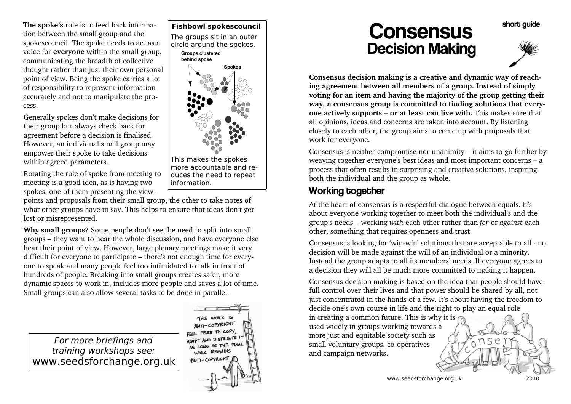**The spoke's** role is to feed back information between the small group and the spokescouncil. The spoke needs to act as a voice for **everyone** within the small group,communicating the breadth of collective thought rather than just their own personal point of view. Being the spoke carries a lotof responsibility to represent information accurately and not to manipulate the process.

Generally spokes don't make decisions fortheir group but always check back for agreement before a decision is finalised. However, an individual small group mayempower their spoke to take decisionswithin agreed parameters.

Rotating the role of spoke from meeting tomeeting is a good idea, as is having twospokes, one of them presenting the view-

points and proposals from their small group, the other to take notes of what other groups have to say. This helps to ensure that ideas don't getlost or misrepresented.

**Why small groups?** Some people don't see the need to split into small groups – they want to hear the whole discussion, and have everyone elsehear their point of view. However, large plenary meetings make it very difficult for everyone to participate – there's not enough time for everyone to speak and many people feel too intimidated to talk in front ofhundreds of people. Breaking into small groups creates safer, more dynamic spaces to work in, includes more people and saves a lot of time.Small groups can also allow several tasks to be done in parallel.

For more briefings and training workshops see:www.seedsforchange.org.uk

#### **Fishbowl spokescouncil**The groups sit in an outer

 circle around the spokes. **Groups clustered behind spoke**



 more accountable and reduces the need to repeatinformation.

THIS WORK IS **ANTI-COPYRIGHT.** FREE TO COPY ADAPT AND DISTRIBUTE 17 ADAPI AND DICK WORK REMAINS ANTI-COPYRIGHT

**Consensus** Decision Making



short quide

**Consensus decision making is a creative and dynamic way of reaching agreement between all members of a group. Instead of simply voting for an item and having the majority of the group getting their way, a consensus group is committed to finding solutions that everyone actively supports – or at least can live with.** This makes sure thatall opinions, ideas and concerns are taken into account. By listening closely to each other, the group aims to come up with proposals thatwork for everyone.

Consensus is neither compromise nor unanimity – it aims to go further by weaving together everyone's best ideas and most important concerns – a process that often results in surprising and creative solutions, inspiringboth the individual and the group as whole.

### Working together

At the heart of consensus is a respectful dialogue between equals. It's about everyone working together to meet both the individual's and the group's needs – working *with* each other rather than *for* or *against* eachother, something that requires openness and trust.

Consensus is looking for 'win-win' solutions that are acceptable to all - nodecision will be made against the will of an individual or a minority. Instead the group adapts to all its members' needs. If everyone agrees toa decision they will all be much more committed to making it happen.

Consensus decision making is based on the idea that people should have full control over their lives and that power should be shared by all, not just concentrated in the hands of a few. It's about having the freedom todecide one's own course in life and the right to play an equal role

in creating a common future. This is why it is used widely in groups working towards amore just and equitable society such assmall voluntary groups, co-operativesand campaign networks.

www.seedsforchange.org.uk 2010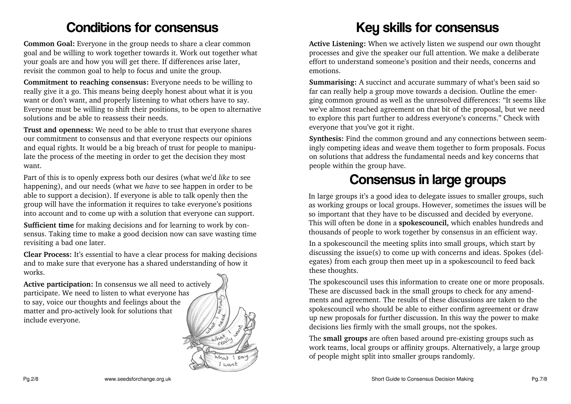### **Conditions for consensus**

**Common Goal:** Everyone in the group needs to share a clear common goal and be willing to work together towards it. Work out together whatyour goals are and how you will get there. If differences arise later,revisit the common goal to help to focus and unite the group.

**Commitment to reaching consensus:** Everyone needs to be willing to really give it a go. This means being deeply honest about what it is you want or don't want, and properly listening to what others have to say. Everyone must be willing to shift their positions, to be open to alternativesolutions and be able to reassess their needs.

**Trust and openness:** We need to be able to trust that everyone shares our commitment to consensus and that everyone respects our opinions and equal rights. It would be a big breach of trust for people to manipulate the process of the meeting in order to get the decision they mostwant.

Part of this is to openly express both our desires (what we'd *like* to see happening), and our needs (what we *have* to see happen in order to be able to support a decision). If everyone is able to talk openly then the group will have the information it requires to take everyone's positionsinto account and to come up with a solution that everyone can support.

**Sufficient time** for making decisions and for learning to work by consensus. Taking time to make a good decision now can save wasting timerevisiting a bad one later.

**Clear Process:** It's essential to have a clear process for making decisionsand to make sure that everyone has a shared understanding of how itworks.

**Active participation:** In consensus we all need to activelyparticipate. We need to listen to what everyone hasto say, voice our thoughts and feelings about thematter and pro-actively look for solutions thatinclude everyone.



# Key skills for consensus

**Active Listening:** When we actively listen we suspend our own thought processes and give the speaker our full attention. We make a deliberate effort to understand someone's position and their needs, concerns andemotions.

**Summarising:** A succinct and accurate summary of what's been said so far can really help a group move towards a decision. Outline the emerging common ground as well as the unresolved differences: "It seems like we've almost reached agreement on that bit of the proposal, but we need to explore this part further to address everyone's concerns." Check witheveryone that you've got it right.

**Synthesis:** Find the common ground and any connections between seemingly competing ideas and weave them together to form proposals. Focuson solutions that address the fundamental needs and key concerns thatpeople within the group have.

## Consensus in large groups

In large groups it's a good idea to delegate issues to smaller groups, such as working groups or local groups. However, sometimes the issues will beso important that they have to be discussed and decided by everyone. This will often be done in a **spokescouncil,** which enables hundreds andthousands of people to work together by consensus in an efficient way.

In a spokescouncil the meeting splits into small groups, which start by discussing the issue(s) to come up with concerns and ideas. Spokes (delegates) from each group then meet up in a spokescouncil to feed backthese thoughts.

The spokescouncil uses this information to create one or more proposals.These are discussed back in the small groups to check for any amendments and agreement. The results of these discussions are taken to the spokescouncil who should be able to either confirm agreement or draw up new proposals for further discussion. In this way the power to makedecisions lies firmly with the small groups, not the spokes.

The **small groups** are often based around pre-existing groups such as work teams, local groups or affinity groups. Alternatively, a large groupof people might split into smaller groups randomly.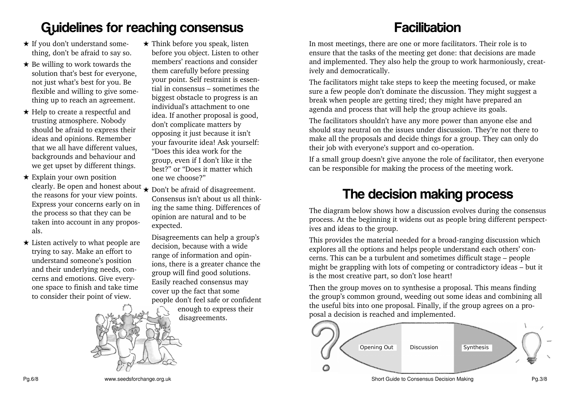## Guidelines for reaching consensus

- $\star$  If you don't understand some-<br>thing don't be efined to some thing, don't be afraid to say so.
- $\star$  Be willing to work towards the solution that's best for everyone,not just what's best for you. Be flexible and willing to give something up to reach an agreement.
- ★ Help to create a respectful and trusting atmosphere. Nobody should be afraid to express their ideas and opinions. Remember that we all have different values, backgrounds and behaviour andwe get upset by different things.
- $\star$  Explain your own position Explain your own position clearly. Be open and honest about the reasons for your view points. Express your concerns early on inthe process so that they can be taken into account in any proposals.
- **★ Listen actively to what people are** trying to say. Make an effort to understand someone's position and their underlying needs, concerns and emotions. Give everyone space to finish and take timeto consider their point of view.
- ★ Think before you speak, listen before you object. Listen to other members' reactions and considerthem carefully before pressing your point. Self restraint is essential in consensus – sometimes the biggest obstacle to progress is anindividual's attachment to one idea. If another proposal is good,don't complicate matters by opposing it just because it isn't your favourite idea! Ask yourself:"Does this idea work for the group, even if I don't like it the best?" or "Does it matter whichone we choose?"
- ★ Don't be afraid of disagreement. Consensus isn't about us all thinking the same thing. Differences ofopinion are natural and to beexpected.

Disagreements can help a group'sdecision, because with a wide range of information and opinions, there is a greater chance thegroup will find good solutions. Easily reached consensus maycover up the fact that some people don't feel safe or confidentenough to express their

disagreements.

# **Facilitation**

 In most meetings, there are one or more facilitators. Their role is to ensure that the tasks of the meeting get done: that decisions are made and implemented. They also help the group to work harmoniously, creatively and democratically.

The facilitators might take steps to keep the meeting focused, or make sure a few people don't dominate the discussion. They might suggest abreak when people are getting tired; they might have prepared anagenda and process that will help the group achieve its goals.

The facilitators shouldn't have any more power than anyone else and should stay neutral on the issues under discussion. They're not there to make all the proposals and decide things for a group. They can only dotheir job with everyone's support and co-operation.

If a small group doesn't give anyone the role of facilitator, then everyonecan be responsible for making the process of the meeting work.

### The decision making process

 The diagram below shows how a discussion evolves during the consensus process. At the beginning it widens out as people bring different perspectives and ideas to the group.

This provides the material needed for a broad-ranging discussion which explores all the options and helps people understand each others' concerns. This can be a turbulent and sometimes difficult stage – people might be grappling with lots of competing or contradictory ideas – but itis the most creative part, so don't lose heart!

Then the group moves on to synthesise a proposal. This means finding the group's common ground, weeding out some ideas and combining allthe useful bits into one proposal. Finally, if the group agrees on a proposal a decision is reached and implemented.